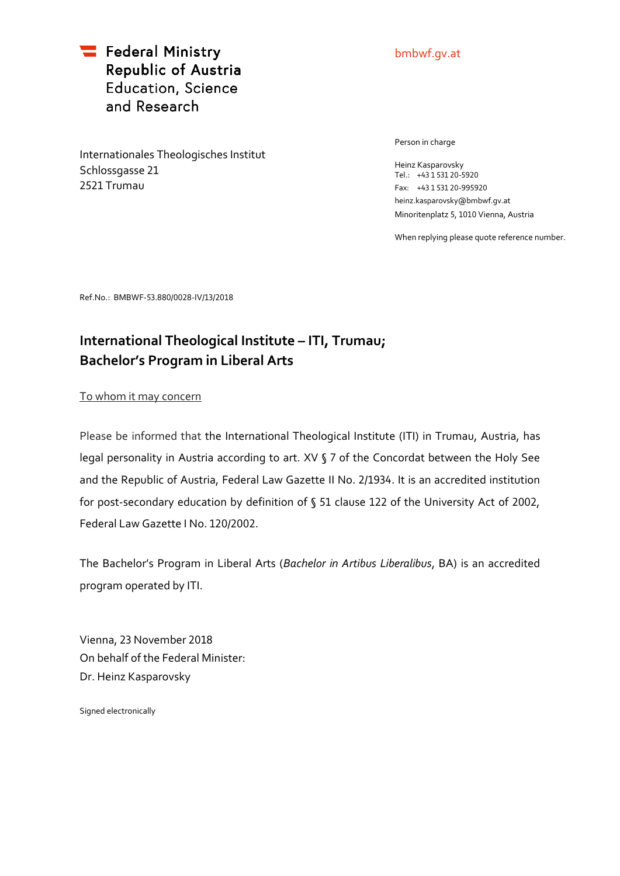Federal Ministry Republic of Austria **Education, Science** and Research

Internationales Theologisches Institut Schlossgasse 21 2521 Trumau

## bmbwf.gv.at

Person in charge

Heinz Kasparovsky Tel.: +43 1 531 20-5920 Fax: +43 1 531 20-995920 heinz.kasparovsky@bmbwf.gv.at Minoritenplatz 5, 1010 Vienna, Austria

When replying please quote reference number.

Ref.No.: BMBWF-53.880/0028-IV/13/2018

## **International Theological Institute – ITI, Trumau; Bachelor's Program in Liberal Arts**

To whom it may concern

Please be informed that the International Theological Institute (ITI) in Trumau, Austria, has legal personality in Austria according to art. XV § 7 of the Concordat between the Holy See and the Republic of Austria, Federal Law Gazette II No. 2/1934. It is an accredited institution for post-secondary education by definition of § 51 clause 122 of the University Act of 2002, Federal Law Gazette I No. 120/2002.

The Bachelor's Program in Liberal Arts (*Bachelor in Artibus Liberalibus*, BA) is an accredited program operated by ITI.

Vienna, 23 November 2018 On behalf of the Federal Minister: Dr. Heinz Kasparovsky

Signed electronically